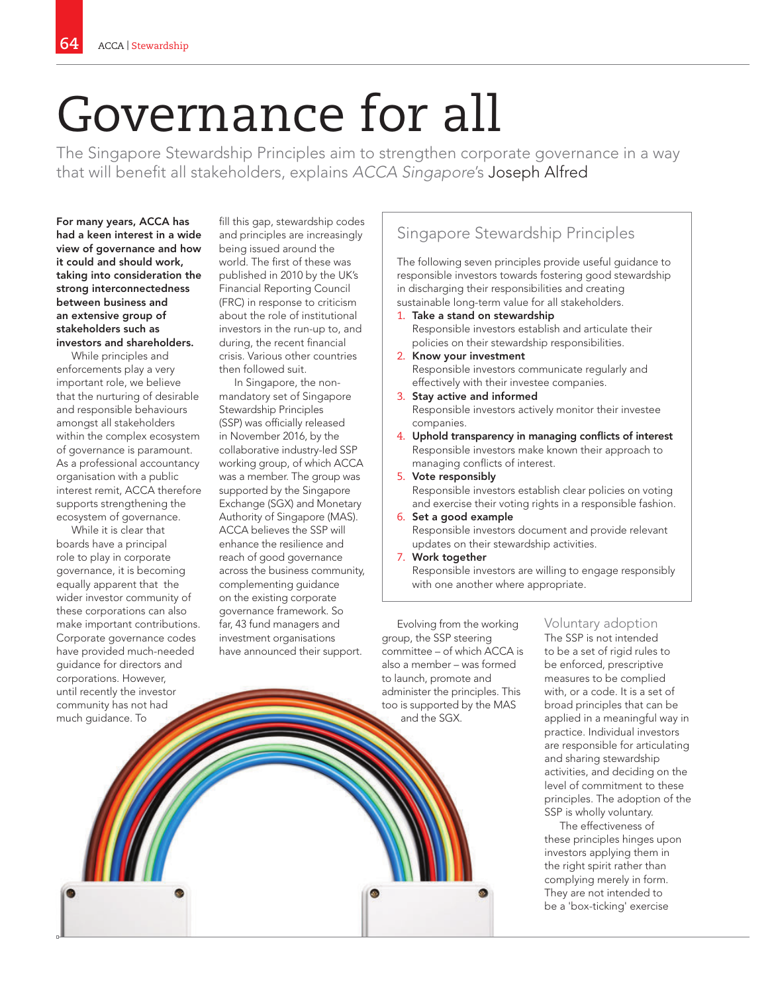# Governance for all

The Singapore Stewardship Principles aim to strengthen corporate governance in a way that will benefit all stakeholders, explains ACCA Singapore's Joseph Alfred

For many years, ACCA has had a keen interest in a wide view of governance and how it could and should work, taking into consideration the strong interconnectedness between business and an extensive group of stakeholders such as investors and shareholders.

While principles and enforcements play a very important role, we believe that the nurturing of desirable and responsible behaviours amongst all stakeholders within the complex ecosystem of governance is paramount. As a professional accountancy organisation with a public interest remit, ACCA therefore supports strengthening the ecosystem of governance.

While it is clear that boards have a principal role to play in corporate governance, it is becoming equally apparent that the wider investor community of these corporations can also make important contributions. Corporate governance codes have provided much-needed guidance for directors and corporations. However, until recently the investor community has not had much guidance. To

fill this gap, stewardship codes and principles are increasingly being issued around the world. The first of these was published in 2010 by the UK's Financial Reporting Council (FRC) in response to criticism about the role of institutional investors in the run-up to, and during, the recent financial crisis. Various other countries then followed suit.

In Singapore, the nonmandatory set of Singapore Stewardship Principles (SSP) was officially released in November 2016, by the collaborative industry-led SSP working group, of which ACCA was a member. The group was supported by the Singapore Exchange (SGX) and Monetary Authority of Singapore (MAS). ACCA believes the SSP will enhance the resilience and reach of good governance across the business community, complementing guidance on the existing corporate governance framework. So far, 43 fund managers and investment organisations have announced their support.

## Singapore Stewardship Principles

The following seven principles provide useful guidance to responsible investors towards fostering good stewardship in discharging their responsibilities and creating sustainable long-term value for all stakeholders.

- 1. Take a stand on stewardship Responsible investors establish and articulate their policies on their stewardship responsibilities.
- 2. Know your investment Responsible investors communicate regularly and effectively with their investee companies.
- 3. Stay active and informed Responsible investors actively monitor their investee companies.
- 4. Uphold transparency in managing conflicts of interest Responsible investors make known their approach to managing conflicts of interest.
- 5. Vote responsibly Responsible investors establish clear policies on voting and exercise their voting rights in a responsible fashion.
- 6. Set a good example Responsible investors document and provide relevant updates on their stewardship activities.
- 7. Work together

Responsible investors are willing to engage responsibly with one another where appropriate.

Evolving from the working group, the SSP steering committee – of which ACCA is also a member – was formed to launch, promote and administer the principles. This too is supported by the MAS and the SGX.

#### Voluntary adoption The SSP is not intended

to be a set of rigid rules to be enforced, prescriptive measures to be complied with, or a code. It is a set of broad principles that can be applied in a meaningful way in practice. Individual investors are responsible for articulating and sharing stewardship activities, and deciding on the level of commitment to these principles. The adoption of the SSP is wholly voluntary.

The effectiveness of these principles hinges upon investors applying them in the right spirit rather than complying merely in form. They are not intended to be a 'box-ticking' exercise